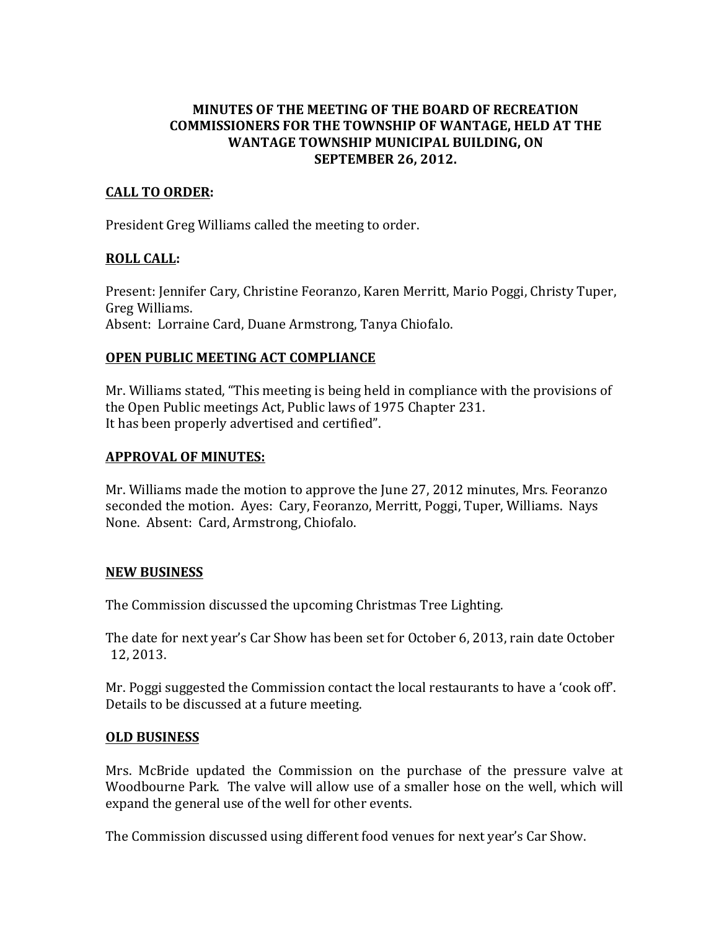# **MINUTES OF THE MEETING OF THE BOARD OF RECREATION COMMISSIONERS FOR THE TOWNSHIP OF WANTAGE, HELD AT THE WANTAGE TOWNSHIP MUNICIPAL BUILDING, ON SEPTEMBER 26, 2012.**

### **CALL(TO(ORDER:**

President Greg Williams called the meeting to order.

### **ROLL CALL:**

Present: Jennifer Cary, Christine Feoranzo, Karen Merritt, Mario Poggi, Christy Tuper, Greg Williams. Absent: Lorraine Card, Duane Armstrong, Tanya Chiofalo.

### **OPEN PUBLIC MEETING ACT COMPLIANCE**

Mr. Williams stated, "This meeting is being held in compliance with the provisions of the Open Public meetings Act, Public laws of 1975 Chapter 231. It has been properly advertised and certified".

### **APPROVAL(OF(MINUTES:**

Mr. Williams made the motion to approve the June 27, 2012 minutes, Mrs. Feoranzo seconded the motion. Ayes: Cary, Feoranzo, Merritt, Poggi, Tuper, Williams. Nays None. Absent: Card, Armstrong, Chiofalo.

## **NEW(BUSINESS**

The Commission discussed the upcoming Christmas Tree Lighting.

The date for next year's Car Show has been set for October 6, 2013, rain date October 12, 2013.

Mr. Poggi suggested the Commission contact the local restaurants to have a 'cook off'. Details to be discussed at a future meeting.

#### **OLD BUSINESS**

Mrs. McBride updated the Commission on the purchase of the pressure valve at Woodbourne Park. The valve will allow use of a smaller hose on the well, which will expand the general use of the well for other events.

The Commission discussed using different food venues for next year's Car Show.